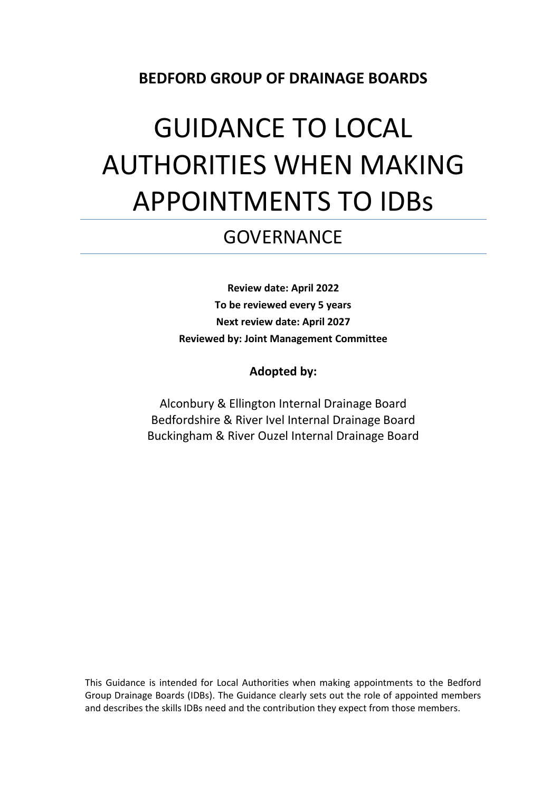### **BEDFORD GROUP OF DRAINAGE BOARDS**

# GUIDANCE TO LOCAL AUTHORITIES WHEN MAKING APPOINTMENTS TO IDBs

# **GOVERNANCE**

**Review date: April 2022 To be reviewed every 5 years Next review date: April 2027 Reviewed by: Joint Management Committee**

**Adopted by:**

Alconbury & Ellington Internal Drainage Board Bedfordshire & River Ivel Internal Drainage Board Buckingham & River Ouzel Internal Drainage Board

This Guidance is intended for Local Authorities when making appointments to the Bedford Group Drainage Boards (IDBs). The Guidance clearly sets out the role of appointed members and describes the skills IDBs need and the contribution they expect from those members.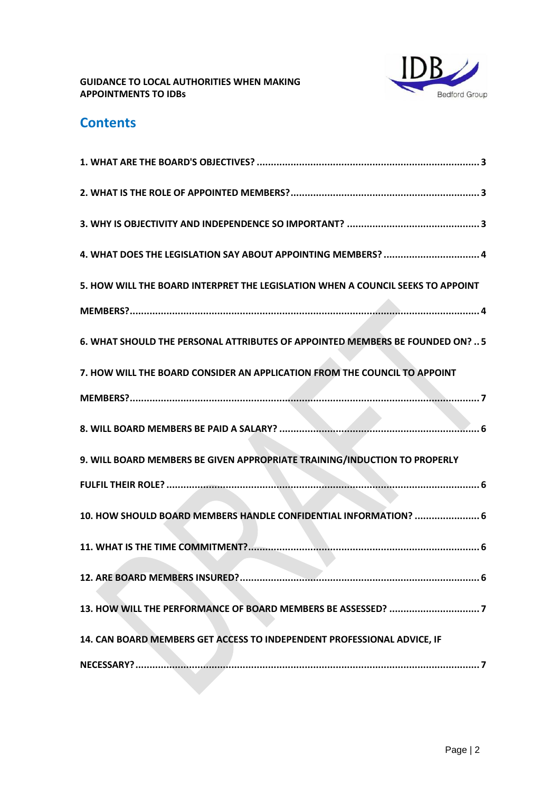

## **Contents**

| 4. WHAT DOES THE LEGISLATION SAY ABOUT APPOINTING MEMBERS?  4                   |
|---------------------------------------------------------------------------------|
| 5. HOW WILL THE BOARD INTERPRET THE LEGISLATION WHEN A COUNCIL SEEKS TO APPOINT |
|                                                                                 |
| 6. WHAT SHOULD THE PERSONAL ATTRIBUTES OF APPOINTED MEMBERS BE FOUNDED ON?  5   |
| 7. HOW WILL THE BOARD CONSIDER AN APPLICATION FROM THE COUNCIL TO APPOINT       |
|                                                                                 |
|                                                                                 |
| 9. WILL BOARD MEMBERS BE GIVEN APPROPRIATE TRAINING/INDUCTION TO PROPERLY       |
|                                                                                 |
| 10. HOW SHOULD BOARD MEMBERS HANDLE CONFIDENTIAL INFORMATION?  6                |
|                                                                                 |
|                                                                                 |
|                                                                                 |
| 14. CAN BOARD MEMBERS GET ACCESS TO INDEPENDENT PROFESSIONAL ADVICE, IF         |
|                                                                                 |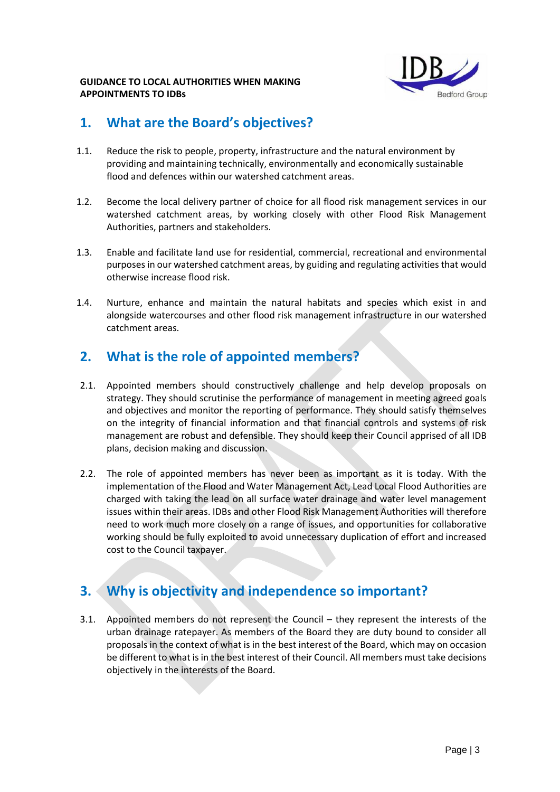

### **1. What are the Board's objectives?**

- 1.1. Reduce the risk to people, property, infrastructure and the natural environment by providing and maintaining technically, environmentally and economically sustainable flood and defences within our watershed catchment areas.
- 1.2. Become the local delivery partner of choice for all flood risk management services in our watershed catchment areas, by working closely with other Flood Risk Management Authorities, partners and stakeholders.
- 1.3. Enable and facilitate land use for residential, commercial, recreational and environmental purposes in our watershed catchment areas, by guiding and regulating activities that would otherwise increase flood risk.
- 1.4. Nurture, enhance and maintain the natural habitats and species which exist in and alongside watercourses and other flood risk management infrastructure in our watershed catchment areas.

### **2. What is the role of appointed members?**

- 2.1. Appointed members should constructively challenge and help develop proposals on strategy. They should scrutinise the performance of management in meeting agreed goals and objectives and monitor the reporting of performance. They should satisfy themselves on the integrity of financial information and that financial controls and systems of risk management are robust and defensible. They should keep their Council apprised of all IDB plans, decision making and discussion.
- 2.2. The role of appointed members has never been as important as it is today. With the implementation of the Flood and Water Management Act, Lead Local Flood Authorities are charged with taking the lead on all surface water drainage and water level management issues within their areas. IDBs and other Flood Risk Management Authorities will therefore need to work much more closely on a range of issues, and opportunities for collaborative working should be fully exploited to avoid unnecessary duplication of effort and increased cost to the Council taxpayer.

# **3. Why is objectivity and independence so important?**

3.1. Appointed members do not represent the Council – they represent the interests of the urban drainage ratepayer. As members of the Board they are duty bound to consider all proposals in the context of what is in the best interest of the Board, which may on occasion be different to what is in the best interest of their Council. All members must take decisions objectively in the interests of the Board.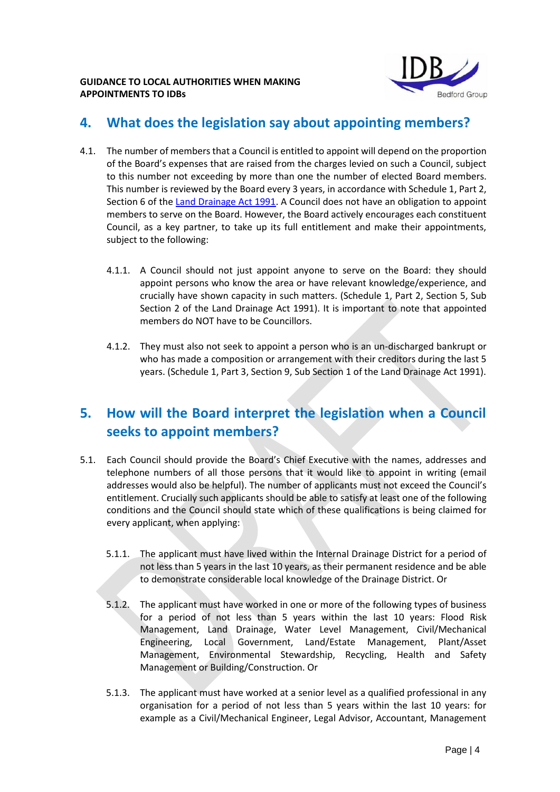

### **4. What does the legislation say about appointing members?**

- 4.1. The number of members that a Council is entitled to appoint will depend on the proportion of the Board's expenses that are raised from the charges levied on such a Council, subject to this number not exceeding by more than one the number of elected Board members. This number is reviewed by the Board every 3 years, in accordance with Schedule 1, Part 2, Section 6 of th[e Land Drainage Act 1991.](http://www.opsi.gov.uk/acts/acts1991/Ukpga_19910059_en_1.htm) A Council does not have an obligation to appoint members to serve on the Board. However, the Board actively encourages each constituent Council, as a key partner, to take up its full entitlement and make their appointments, subject to the following:
	- 4.1.1. A Council should not just appoint anyone to serve on the Board: they should appoint persons who know the area or have relevant knowledge/experience, and crucially have shown capacity in such matters. (Schedule 1, Part 2, Section 5, Sub Section 2 of the Land Drainage Act 1991). It is important to note that appointed members do NOT have to be Councillors.
	- 4.1.2. They must also not seek to appoint a person who is an un-discharged bankrupt or who has made a composition or arrangement with their creditors during the last 5 years. (Schedule 1, Part 3, Section 9, Sub Section 1 of the Land Drainage Act 1991).

### **5. How will the Board interpret the legislation when a Council seeks to appoint members?**

- 5.1. Each Council should provide the Board's Chief Executive with the names, addresses and telephone numbers of all those persons that it would like to appoint in writing (email addresses would also be helpful). The number of applicants must not exceed the Council's entitlement. Crucially such applicants should be able to satisfy at least one of the following conditions and the Council should state which of these qualifications is being claimed for every applicant, when applying:
	- 5.1.1. The applicant must have lived within the Internal Drainage District for a period of not less than 5 years in the last 10 years, as their permanent residence and be able to demonstrate considerable local knowledge of the Drainage District. Or
	- 5.1.2. The applicant must have worked in one or more of the following types of business for a period of not less than 5 years within the last 10 years: Flood Risk Management, Land Drainage, Water Level Management, Civil/Mechanical Engineering, Local Government, Land/Estate Management, Plant/Asset Management, Environmental Stewardship, Recycling, Health and Safety Management or Building/Construction. Or
	- 5.1.3. The applicant must have worked at a senior level as a qualified professional in any organisation for a period of not less than 5 years within the last 10 years: for example as a Civil/Mechanical Engineer, Legal Advisor, Accountant, Management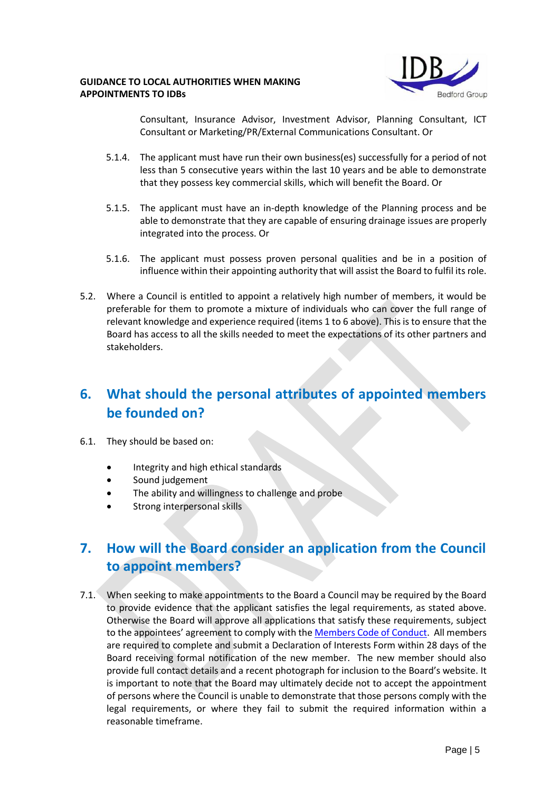

Consultant, Insurance Advisor, Investment Advisor, Planning Consultant, ICT Consultant or Marketing/PR/External Communications Consultant. Or

- 5.1.4. The applicant must have run their own business(es) successfully for a period of not less than 5 consecutive years within the last 10 years and be able to demonstrate that they possess key commercial skills, which will benefit the Board. Or
- 5.1.5. The applicant must have an in-depth knowledge of the Planning process and be able to demonstrate that they are capable of ensuring drainage issues are properly integrated into the process. Or
- 5.1.6. The applicant must possess proven personal qualities and be in a position of influence within their appointing authority that will assist the Board to fulfil its role.
- 5.2. Where a Council is entitled to appoint a relatively high number of members, it would be preferable for them to promote a mixture of individuals who can cover the full range of relevant knowledge and experience required (items 1 to 6 above). This is to ensure that the Board has access to all the skills needed to meet the expectations of its other partners and stakeholders.

### **6. What should the personal attributes of appointed members be founded on?**

- 6.1. They should be based on:
	- Integrity and high ethical standards
	- Sound judgement
	- The ability and willingness to challenge and probe
	- Strong interpersonal skills

# **7. How will the Board consider an application from the Council to appoint members?**

7.1. When seeking to make appointments to the Board a Council may be required by the Board to provide evidence that the applicant satisfies the legal requirements, as stated above. Otherwise the Board will approve all applications that satisfy these requirements, subject to the appointees' agreement to comply with the [Members Code of Conduct.](https://www.idbs.org.uk/wp-content/uploads/2022/06/members_code_of_conduct.pdf) All members are required to complete and submit a Declaration of Interests Form within 28 days of the Board receiving formal notification of the new member. The new member should also provide full contact details and a recent photograph for inclusion to the Board's website. It is important to note that the Board may ultimately decide not to accept the appointment of persons where the Council is unable to demonstrate that those persons comply with the legal requirements, or where they fail to submit the required information within a reasonable timeframe.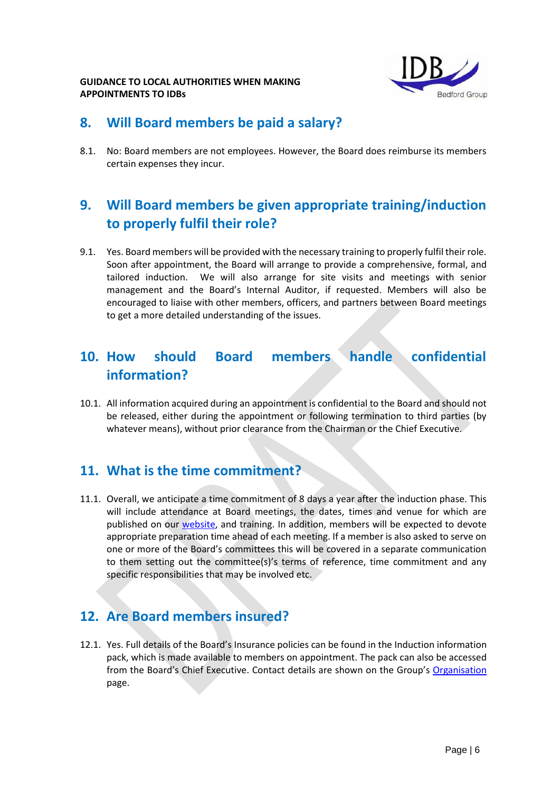

### **8. Will Board members be paid a salary?**

8.1. No: Board members are not employees. However, the Board does reimburse its members certain expenses they incur.

# **9. Will Board members be given appropriate training/induction to properly fulfil their role?**

9.1. Yes. Board members will be provided with the necessary training to properly fulfil their role. Soon after appointment, the Board will arrange to provide a comprehensive, formal, and tailored induction. We will also arrange for site visits and meetings with senior management and the Board's Internal Auditor, if requested. Members will also be encouraged to liaise with other members, officers, and partners between Board meetings to get a more detailed understanding of the issues.

### **10. How should Board members handle confidential information?**

10.1. All information acquired during an appointment is confidential to the Board and should not be released, either during the appointment or following termination to third parties (by whatever means), without prior clearance from the Chairman or the Chief Executive.

### **11. What is the time commitment?**

11.1. Overall, we anticipate a time commitment of 8 days a year after the induction phase. This will include attendance at Board meetings, the dates, times and venue for which are published on our [website,](https://www.idbs.org.uk/about-us/meeting-dates/) and training. In addition, members will be expected to devote appropriate preparation time ahead of each meeting. If a member is also asked to serve on one or more of the Board's committees this will be covered in a separate communication to them setting out the committee(s)'s terms of reference, time commitment and any specific responsibilities that may be involved etc.

### **12. Are Board members insured?**

12.1. Yes. Full details of the Board's Insurance policies can be found in the Induction information pack, which is made available to members on appointment. The pack can also be accessed from the Board's Chief Executive. Contact details are shown on the Group's [Organisation](https://www.idbs.org.uk/about-us/organisation/) page.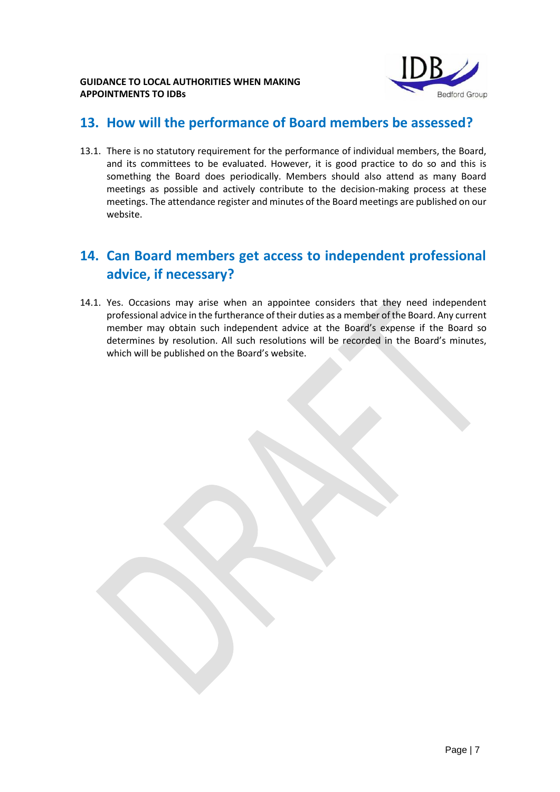

### **13. How will the performance of Board members be assessed?**

13.1. There is no statutory requirement for the performance of individual members, the Board, and its committees to be evaluated. However, it is good practice to do so and this is something the Board does periodically. Members should also attend as many Board meetings as possible and actively contribute to the decision-making process at these meetings. The attendance register and minutes of the Board meetings are published on our website.

# **14. Can Board members get access to independent professional advice, if necessary?**

14.1. Yes. Occasions may arise when an appointee considers that they need independent professional advice in the furtherance of their duties as a member of the Board. Any current member may obtain such independent advice at the Board's expense if the Board so determines by resolution. All such resolutions will be recorded in the Board's minutes, which will be published on the Board's website.